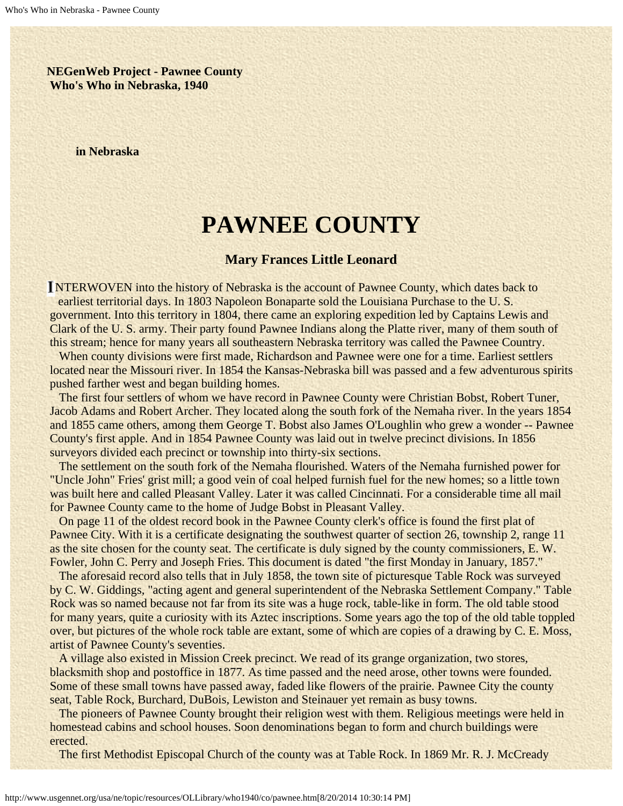**NEGenWeb Project - Pawnee County Who's Who in Nebraska, 1940**

**in Nebraska**

# **PAWNEE COUNTY**

## **Mary Frances Little Leonard**

NTERWOVEN into the history of Nebraska is the account of Pawnee County, which dates back to earliest territorial days. In 1803 Napoleon Bonaparte sold the Louisiana Purchase to the U. S. government. Into this territory in 1804, there came an exploring expedition led by Captains Lewis and Clark of the U. S. army. Their party found Pawnee Indians along the Platte river, many of them south of this stream; hence for many years all southeastern Nebraska territory was called the Pawnee Country.

 When county divisions were first made, Richardson and Pawnee were one for a time. Earliest settlers located near the Missouri river. In 1854 the Kansas-Nebraska bill was passed and a few adventurous spirits pushed farther west and began building homes.

 The first four settlers of whom we have record in Pawnee County were Christian Bobst, Robert Tuner, Jacob Adams and Robert Archer. They located along the south fork of the Nemaha river. In the years 1854 and 1855 came others, among them George T. Bobst also James O'Loughlin who grew a wonder -- Pawnee County's first apple. And in 1854 Pawnee County was laid out in twelve precinct divisions. In 1856 surveyors divided each precinct or township into thirty-six sections.

 The settlement on the south fork of the Nemaha flourished. Waters of the Nemaha furnished power for "Uncle John" Fries' grist mill; a good vein of coal helped furnish fuel for the new homes; so a little town was built here and called Pleasant Valley. Later it was called Cincinnati. For a considerable time all mail for Pawnee County came to the home of Judge Bobst in Pleasant Valley.

 On page 11 of the oldest record book in the Pawnee County clerk's office is found the first plat of Pawnee City. With it is a certificate designating the southwest quarter of section 26, township 2, range 11 as the site chosen for the county seat. The certificate is duly signed by the county commissioners, E. W. Fowler, John C. Perry and Joseph Fries. This document is dated "the first Monday in January, 1857."

 The aforesaid record also tells that in July 1858, the town site of picturesque Table Rock was surveyed by C. W. Giddings, "acting agent and general superintendent of the Nebraska Settlement Company." Table Rock was so named because not far from its site was a huge rock, table-like in form. The old table stood for many years, quite a curiosity with its Aztec inscriptions. Some years ago the top of the old table toppled over, but pictures of the whole rock table are extant, some of which are copies of a drawing by C. E. Moss, artist of Pawnee County's seventies.

 A village also existed in Mission Creek precinct. We read of its grange organization, two stores, blacksmith shop and postoffice in 1877. As time passed and the need arose, other towns were founded. Some of these small towns have passed away, faded like flowers of the prairie. Pawnee City the county seat, Table Rock, Burchard, DuBois, Lewiston and Steinauer yet remain as busy towns.

 The pioneers of Pawnee County brought their religion west with them. Religious meetings were held in homestead cabins and school houses. Soon denominations began to form and church buildings were erected.

The first Methodist Episcopal Church of the county was at Table Rock. In 1869 Mr. R. J. McCready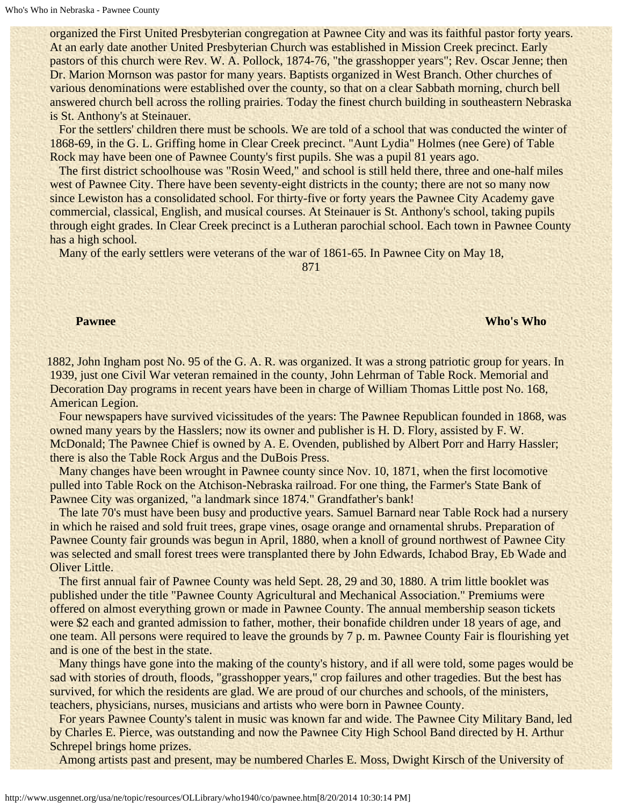organized the First United Presbyterian congregation at Pawnee City and was its faithful pastor forty years. At an early date another United Presbyterian Church was established in Mission Creek precinct. Early pastors of this church were Rev. W. A. Pollock, 1874-76, "the grasshopper years"; Rev. Oscar Jenne; then Dr. Marion Mornson was pastor for many years. Baptists organized in West Branch. Other churches of various denominations were established over the county, so that on a clear Sabbath morning, church bell answered church bell across the rolling prairies. Today the finest church building in southeastern Nebraska is St. Anthony's at Steinauer.

 For the settlers' children there must be schools. We are told of a school that was conducted the winter of 1868-69, in the G. L. Griffing home in Clear Creek precinct. "Aunt Lydia" Holmes (nee Gere) of Table Rock may have been one of Pawnee County's first pupils. She was a pupil 81 years ago.

 The first district schoolhouse was "Rosin Weed," and school is still held there, three and one-half miles west of Pawnee City. There have been seventy-eight districts in the county; there are not so many now since Lewiston has a consolidated school. For thirty-five or forty years the Pawnee City Academy gave commercial, classical, English, and musical courses. At Steinauer is St. Anthony's school, taking pupils through eight grades. In Clear Creek precinct is a Lutheran parochial school. Each town in Pawnee County has a high school.

Many of the early settlers were veterans of the war of 1861-65. In Pawnee City on May 18,

871

### **Pawnee Who's Who's Who**

1882, John Ingham post No. 95 of the G. A. R. was organized. It was a strong patriotic group for years. In 1939, just one Civil War veteran remained in the county, John Lehrman of Table Rock. Memorial and Decoration Day programs in recent years have been in charge of William Thomas Little post No. 168, American Legion.

 Four newspapers have survived vicissitudes of the years: The Pawnee Republican founded in 1868, was owned many years by the Hasslers; now its owner and publisher is H. D. Flory, assisted by F. W. McDonald; The Pawnee Chief is owned by A. E. Ovenden, published by Albert Porr and Harry Hassler; there is also the Table Rock Argus and the DuBois Press.

 Many changes have been wrought in Pawnee county since Nov. 10, 1871, when the first locomotive pulled into Table Rock on the Atchison-Nebraska railroad. For one thing, the Farmer's State Bank of Pawnee City was organized, "a landmark since 1874." Grandfather's bank!

 The late 70's must have been busy and productive years. Samuel Barnard near Table Rock had a nursery in which he raised and sold fruit trees, grape vines, osage orange and ornamental shrubs. Preparation of Pawnee County fair grounds was begun in April, 1880, when a knoll of ground northwest of Pawnee City was selected and small forest trees were transplanted there by John Edwards, Ichabod Bray, Eb Wade and Oliver Little.

 The first annual fair of Pawnee County was held Sept. 28, 29 and 30, 1880. A trim little booklet was published under the title "Pawnee County Agricultural and Mechanical Association." Premiums were offered on almost everything grown or made in Pawnee County. The annual membership season tickets were \$2 each and granted admission to father, mother, their bonafide children under 18 years of age, and one team. All persons were required to leave the grounds by 7 p. m. Pawnee County Fair is flourishing yet and is one of the best in the state.

 Many things have gone into the making of the county's history, and if all were told, some pages would be sad with stories of drouth, floods, "grasshopper years," crop failures and other tragedies. But the best has survived, for which the residents are glad. We are proud of our churches and schools, of the ministers, teachers, physicians, nurses, musicians and artists who were born in Pawnee County.

 For years Pawnee County's talent in music was known far and wide. The Pawnee City Military Band, led by Charles E. Pierce, was outstanding and now the Pawnee City High School Band directed by H. Arthur Schrepel brings home prizes.

Among artists past and present, may be numbered Charles E. Moss, Dwight Kirsch of the University of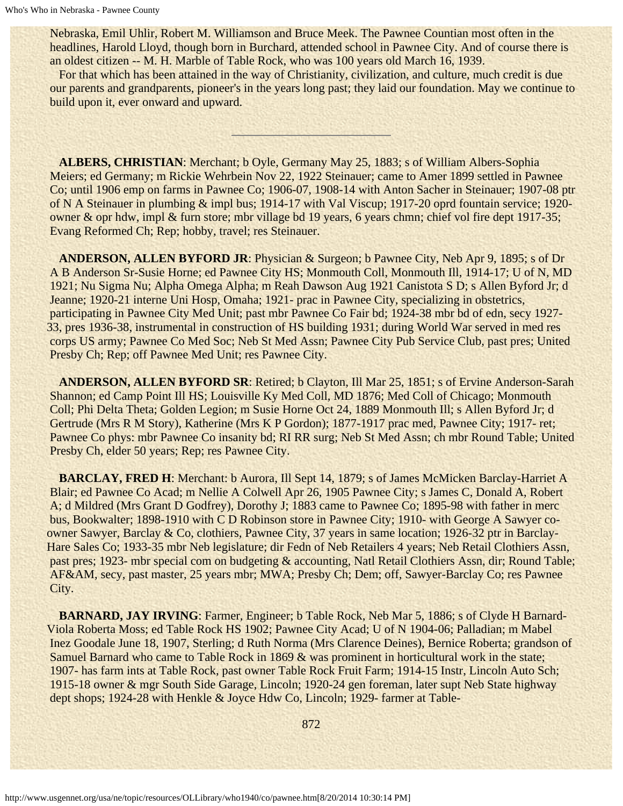Nebraska, Emil Uhlir, Robert M. Williamson and Bruce Meek. The Pawnee Countian most often in the headlines, Harold Lloyd, though born in Burchard, attended school in Pawnee City. And of course there is an oldest citizen -- M. H. Marble of Table Rock, who was 100 years old March 16, 1939.

 For that which has been attained in the way of Christianity, civilization, and culture, much credit is due our parents and grandparents, pioneer's in the years long past; they laid our foundation. May we continue to build upon it, ever onward and upward.

 **ALBERS, CHRISTIAN**: Merchant; b Oyle, Germany May 25, 1883; s of William Albers-Sophia Meiers; ed Germany; m Rickie Wehrbein Nov 22, 1922 Steinauer; came to Amer 1899 settled in Pawnee Co; until 1906 emp on farms in Pawnee Co; 1906-07, 1908-14 with Anton Sacher in Steinauer; 1907-08 ptr of N A Steinauer in plumbing & impl bus; 1914-17 with Val Viscup; 1917-20 oprd fountain service; 1920 owner & opr hdw, impl & furn store; mbr village bd 19 years, 6 years chmn; chief vol fire dept 1917-35; Evang Reformed Ch; Rep; hobby, travel; res Steinauer.

 **ANDERSON, ALLEN BYFORD JR**: Physician & Surgeon; b Pawnee City, Neb Apr 9, 1895; s of Dr A B Anderson Sr-Susie Horne; ed Pawnee City HS; Monmouth Coll, Monmouth Ill, 1914-17; U of N, MD 1921; Nu Sigma Nu; Alpha Omega Alpha; m Reah Dawson Aug 1921 Canistota S D; s Allen Byford Jr; d Jeanne; 1920-21 interne Uni Hosp, Omaha; 1921- prac in Pawnee City, specializing in obstetrics, participating in Pawnee City Med Unit; past mbr Pawnee Co Fair bd; 1924-38 mbr bd of edn, secy 1927- 33, pres 1936-38, instrumental in construction of HS building 1931; during World War served in med res corps US army; Pawnee Co Med Soc; Neb St Med Assn; Pawnee City Pub Service Club, past pres; United Presby Ch; Rep; off Pawnee Med Unit; res Pawnee City.

 **ANDERSON, ALLEN BYFORD SR**: Retired; b Clayton, Ill Mar 25, 1851; s of Ervine Anderson-Sarah Shannon; ed Camp Point Ill HS; Louisville Ky Med Coll, MD 1876; Med Coll of Chicago; Monmouth Coll; Phi Delta Theta; Golden Legion; m Susie Horne Oct 24, 1889 Monmouth Ill; s Allen Byford Jr; d Gertrude (Mrs R M Story), Katherine (Mrs K P Gordon); 1877-1917 prac med, Pawnee City; 1917- ret; Pawnee Co phys: mbr Pawnee Co insanity bd; RI RR surg; Neb St Med Assn; ch mbr Round Table; United Presby Ch, elder 50 years; Rep; res Pawnee City.

 **BARCLAY, FRED H**: Merchant: b Aurora, Ill Sept 14, 1879; s of James McMicken Barclay-Harriet A Blair; ed Pawnee Co Acad; m Nellie A Colwell Apr 26, 1905 Pawnee City; s James C, Donald A, Robert A; d Mildred (Mrs Grant D Godfrey), Dorothy J; 1883 came to Pawnee Co; 1895-98 with father in merc bus, Bookwalter; 1898-1910 with C D Robinson store in Pawnee City; 1910- with George A Sawyer coowner Sawyer, Barclay & Co, clothiers, Pawnee City, 37 years in same location; 1926-32 ptr in Barclay-Hare Sales Co; 1933-35 mbr Neb legislature; dir Fedn of Neb Retailers 4 years; Neb Retail Clothiers Assn, past pres; 1923- mbr special com on budgeting & accounting, Natl Retail Clothiers Assn, dir; Round Table; AF&AM, secy, past master, 25 years mbr; MWA; Presby Ch; Dem; off, Sawyer-Barclay Co; res Pawnee City.

 **BARNARD, JAY IRVING**: Farmer, Engineer; b Table Rock, Neb Mar 5, 1886; s of Clyde H Barnard-Viola Roberta Moss; ed Table Rock HS 1902; Pawnee City Acad; U of N 1904-06; Palladian; m Mabel Inez Goodale June 18, 1907, Sterling; d Ruth Norma (Mrs Clarence Deines), Bernice Roberta; grandson of Samuel Barnard who came to Table Rock in 1869 & was prominent in horticultural work in the state; 1907- has farm ints at Table Rock, past owner Table Rock Fruit Farm; 1914-15 Instr, Lincoln Auto Sch; 1915-18 owner & mgr South Side Garage, Lincoln; 1920-24 gen foreman, later supt Neb State highway dept shops; 1924-28 with Henkle & Joyce Hdw Co, Lincoln; 1929- farmer at Table-

872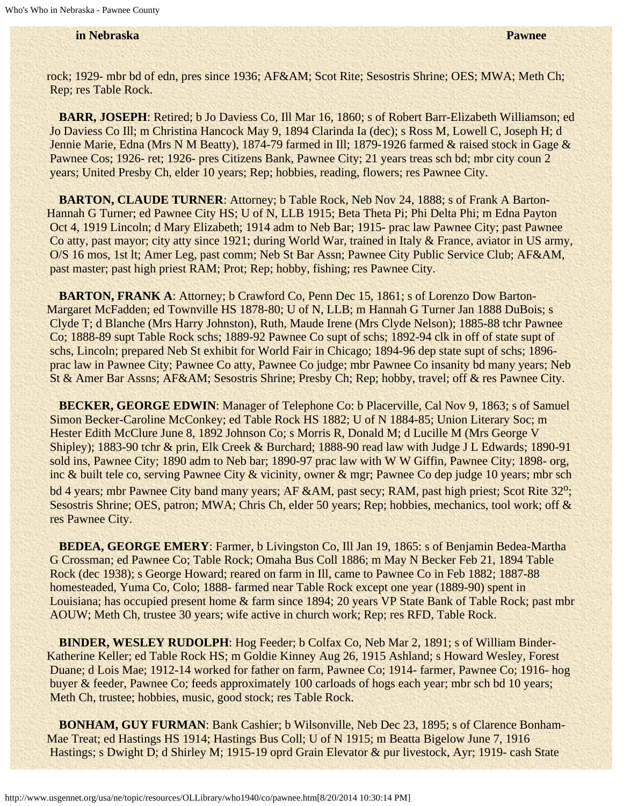### **in Nebraska Pawnee**

rock; 1929- mbr bd of edn, pres since 1936; AF&AM; Scot Rite; Sesostris Shrine; OES; MWA; Meth Ch; Rep; res Table Rock.

 **BARR, JOSEPH**: Retired; b Jo Daviess Co, Ill Mar 16, 1860; s of Robert Barr-Elizabeth Williamson; ed Jo Daviess Co Ill; m Christina Hancock May 9, 1894 Clarinda Ia (dec); s Ross M, Lowell C, Joseph H; d Jennie Marie, Edna (Mrs N M Beatty), 1874-79 farmed in Ill; 1879-1926 farmed & raised stock in Gage & Pawnee Cos; 1926- ret; 1926- pres Citizens Bank, Pawnee City; 21 years treas sch bd; mbr city coun 2 years; United Presby Ch, elder 10 years; Rep; hobbies, reading, flowers; res Pawnee City.

**BARTON, CLAUDE TURNER:** Attorney; b Table Rock, Neb Nov 24, 1888; s of Frank A Barton-Hannah G Turner; ed Pawnee City HS; U of N, LLB 1915; Beta Theta Pi; Phi Delta Phi; m Edna Payton Oct 4, 1919 Lincoln; d Mary Elizabeth; 1914 adm to Neb Bar; 1915- prac law Pawnee City; past Pawnee Co atty, past mayor; city atty since 1921; during World War, trained in Italy & France, aviator in US army, O/S 16 mos, 1st lt; Amer Leg, past comm; Neb St Bar Assn; Pawnee City Public Service Club; AF&AM, past master; past high priest RAM; Prot; Rep; hobby, fishing; res Pawnee City.

**BARTON, FRANK A: Attorney; b Crawford Co, Penn Dec 15, 1861; s of Lorenzo Dow Barton-**Margaret McFadden; ed Townville HS 1878-80; U of N, LLB; m Hannah G Turner Jan 1888 DuBois; s Clyde T; d Blanche (Mrs Harry Johnston), Ruth, Maude Irene (Mrs Clyde Nelson); 1885-88 tchr Pawnee Co; 1888-89 supt Table Rock schs; 1889-92 Pawnee Co supt of schs; 1892-94 clk in off of state supt of schs, Lincoln; prepared Neb St exhibit for World Fair in Chicago; 1894-96 dep state supt of schs; 1896 prac law in Pawnee City; Pawnee Co atty, Pawnee Co judge; mbr Pawnee Co insanity bd many years; Neb St & Amer Bar Assns; AF&AM; Sesostris Shrine; Presby Ch; Rep; hobby, travel; off & res Pawnee City.

**BECKER, GEORGE EDWIN:** Manager of Telephone Co: b Placerville, Cal Nov 9, 1863; s of Samuel Simon Becker-Caroline McConkey; ed Table Rock HS 1882; U of N 1884-85; Union Literary Soc; m Hester Edith McClure June 8, 1892 Johnson Co; s Morris R, Donald M; d Lucille M (Mrs George V Shipley); 1883-90 tchr & prin, Elk Creek & Burchard; 1888-90 read law with Judge J L Edwards; 1890-91 sold ins, Pawnee City; 1890 adm to Neb bar; 1890-97 prac law with W W Giffin, Pawnee City; 1898- org, inc & built tele co, serving Pawnee City & vicinity, owner & mgr; Pawnee Co dep judge 10 years; mbr sch bd 4 years; mbr Pawnee City band many years; AF &AM, past secy; RAM, past high priest; Scot Rite 32<sup>o</sup>; Sesostris Shrine; OES, patron; MWA; Chris Ch, elder 50 years; Rep; hobbies, mechanics, tool work; off & res Pawnee City.

 **BEDEA, GEORGE EMERY**: Farmer, b Livingston Co, Ill Jan 19, 1865: s of Benjamin Bedea-Martha G Crossman; ed Pawnee Co; Table Rock; Omaha Bus Coll 1886; m May N Becker Feb 21, 1894 Table Rock (dec 1938); s George Howard; reared on farm in Ill, came to Pawnee Co in Feb 1882; 1887-88 homesteaded, Yuma Co, Colo; 1888- farmed near Table Rock except one year (1889-90) spent in Louisiana; has occupied present home & farm since 1894; 20 years VP State Bank of Table Rock; past mbr AOUW; Meth Ch, trustee 30 years; wife active in church work; Rep; res RFD, Table Rock.

 **BINDER, WESLEY RUDOLPH**: Hog Feeder; b Colfax Co, Neb Mar 2, 1891; s of William Binder-Katherine Keller; ed Table Rock HS; m Goldie Kinney Aug 26, 1915 Ashland; s Howard Wesley, Forest Duane; d Lois Mae; 1912-14 worked for father on farm, Pawnee Co; 1914- farmer, Pawnee Co; 1916- hog buyer & feeder, Pawnee Co; feeds approximately 100 carloads of hogs each year; mbr sch bd 10 years; Meth Ch, trustee; hobbies, music, good stock; res Table Rock.

**BONHAM, GUY FURMAN:** Bank Cashier; b Wilsonville, Neb Dec 23, 1895; s of Clarence Bonham-Mae Treat; ed Hastings HS 1914; Hastings Bus Coll; U of N 1915; m Beatta Bigelow June 7, 1916 Hastings; s Dwight D; d Shirley M; 1915-19 oprd Grain Elevator & pur livestock, Ayr; 1919- cash State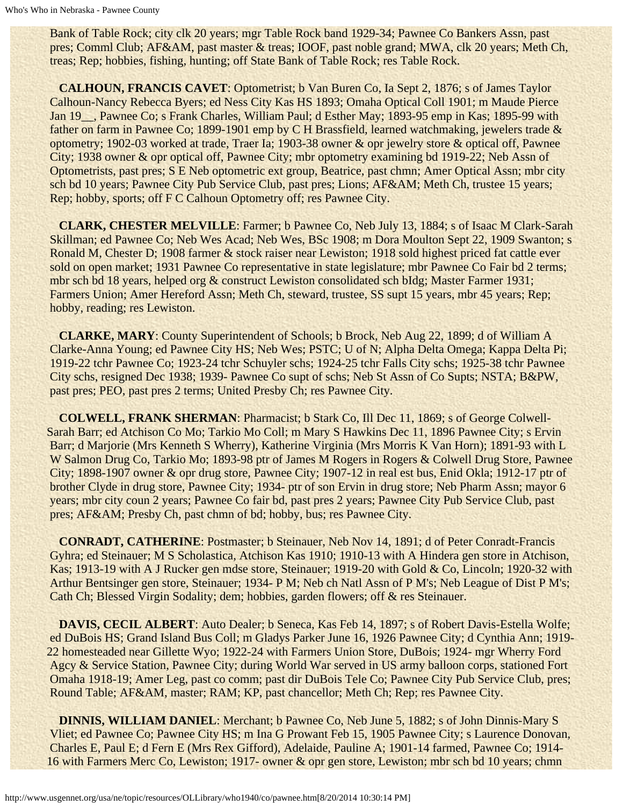Bank of Table Rock; city clk 20 years; mgr Table Rock band 1929-34; Pawnee Co Bankers Assn, past pres; Comml Club; AF&AM, past master & treas; IOOF, past noble grand; MWA, clk 20 years; Meth Ch, treas; Rep; hobbies, fishing, hunting; off State Bank of Table Rock; res Table Rock.

 **CALHOUN, FRANCIS CAVET**: Optometrist; b Van Buren Co, Ia Sept 2, 1876; s of James Taylor Calhoun-Nancy Rebecca Byers; ed Ness City Kas HS 1893; Omaha Optical Coll 1901; m Maude Pierce Jan 19\_\_, Pawnee Co; s Frank Charles, William Paul; d Esther May; 1893-95 emp in Kas; 1895-99 with father on farm in Pawnee Co; 1899-1901 emp by C H Brassfield, learned watchmaking, jewelers trade & optometry; 1902-03 worked at trade, Traer Ia; 1903-38 owner & opr jewelry store & optical off, Pawnee City; 1938 owner & opr optical off, Pawnee City; mbr optometry examining bd 1919-22; Neb Assn of Optometrists, past pres; S E Neb optometric ext group, Beatrice, past chmn; Amer Optical Assn; mbr city sch bd 10 years; Pawnee City Pub Service Club, past pres; Lions; AF&AM; Meth Ch, trustee 15 years; Rep; hobby, sports; off F C Calhoun Optometry off; res Pawnee City.

 **CLARK, CHESTER MELVILLE**: Farmer; b Pawnee Co, Neb July 13, 1884; s of Isaac M Clark-Sarah Skillman; ed Pawnee Co; Neb Wes Acad; Neb Wes, BSc 1908; m Dora Moulton Sept 22, 1909 Swanton; s Ronald M, Chester D; 1908 farmer & stock raiser near Lewiston; 1918 sold highest priced fat cattle ever sold on open market; 1931 Pawnee Co representative in state legislature; mbr Pawnee Co Fair bd 2 terms; mbr sch bd 18 years, helped org & construct Lewiston consolidated sch bIdg; Master Farmer 1931; Farmers Union; Amer Hereford Assn; Meth Ch, steward, trustee, SS supt 15 years, mbr 45 years; Rep; hobby, reading; res Lewiston.

 **CLARKE, MARY**: County Superintendent of Schools; b Brock, Neb Aug 22, 1899; d of William A Clarke-Anna Young; ed Pawnee City HS; Neb Wes; PSTC; U of N; Alpha Delta Omega; Kappa Delta Pi; 1919-22 tchr Pawnee Co; 1923-24 tchr Schuyler schs; 1924-25 tchr Falls City schs; 1925-38 tchr Pawnee City schs, resigned Dec 1938; 1939- Pawnee Co supt of schs; Neb St Assn of Co Supts; NSTA; B&PW, past pres; PEO, past pres 2 terms; United Presby Ch; res Pawnee City.

 **COLWELL, FRANK SHERMAN**: Pharmacist; b Stark Co, Ill Dec 11, 1869; s of George Colwell-Sarah Barr; ed Atchison Co Mo; Tarkio Mo Coll; m Mary S Hawkins Dec 11, 1896 Pawnee City; s Ervin Barr; d Marjorie (Mrs Kenneth S Wherry), Katherine Virginia (Mrs Morris K Van Horn); 1891-93 with L W Salmon Drug Co, Tarkio Mo; 1893-98 ptr of James M Rogers in Rogers & Colwell Drug Store, Pawnee City; 1898-1907 owner & opr drug store, Pawnee City; 1907-12 in real est bus, Enid Okla; 1912-17 ptr of brother Clyde in drug store, Pawnee City; 1934- ptr of son Ervin in drug store; Neb Pharm Assn; mayor 6 years; mbr city coun 2 years; Pawnee Co fair bd, past pres 2 years; Pawnee City Pub Service Club, past pres; AF&AM; Presby Ch, past chmn of bd; hobby, bus; res Pawnee City.

 **CONRADT, CATHERINE**: Postmaster; b Steinauer, Neb Nov 14, 1891; d of Peter Conradt-Francis Gyhra; ed Steinauer; M S Scholastica, Atchison Kas 1910; 1910-13 with A Hindera gen store in Atchison, Kas; 1913-19 with A J Rucker gen mdse store, Steinauer; 1919-20 with Gold & Co, Lincoln; 1920-32 with Arthur Bentsinger gen store, Steinauer; 1934- P M; Neb ch Natl Assn of P M's; Neb League of Dist P M's; Cath Ch; Blessed Virgin Sodality; dem; hobbies, garden flowers; off & res Steinauer.

 **DAVIS, CECIL ALBERT**: Auto Dealer; b Seneca, Kas Feb 14, 1897; s of Robert Davis-Estella Wolfe; ed DuBois HS; Grand Island Bus Coll; m Gladys Parker June 16, 1926 Pawnee City; d Cynthia Ann; 1919- 22 homesteaded near Gillette Wyo; 1922-24 with Farmers Union Store, DuBois; 1924- mgr Wherry Ford Agcy & Service Station, Pawnee City; during World War served in US army balloon corps, stationed Fort Omaha 1918-19; Amer Leg, past co comm; past dir DuBois Tele Co; Pawnee City Pub Service Club, pres; Round Table; AF&AM, master; RAM; KP, past chancellor; Meth Ch; Rep; res Pawnee City.

 **DINNIS, WILLIAM DANIEL**: Merchant; b Pawnee Co, Neb June 5, 1882; s of John Dinnis-Mary S Vliet; ed Pawnee Co; Pawnee City HS; m Ina G Prowant Feb 15, 1905 Pawnee City; s Laurence Donovan, Charles E, Paul E; d Fern E (Mrs Rex Gifford), Adelaide, Pauline A; 1901-14 farmed, Pawnee Co; 1914- 16 with Farmers Merc Co, Lewiston; 1917- owner & opr gen store, Lewiston; mbr sch bd 10 years; chmn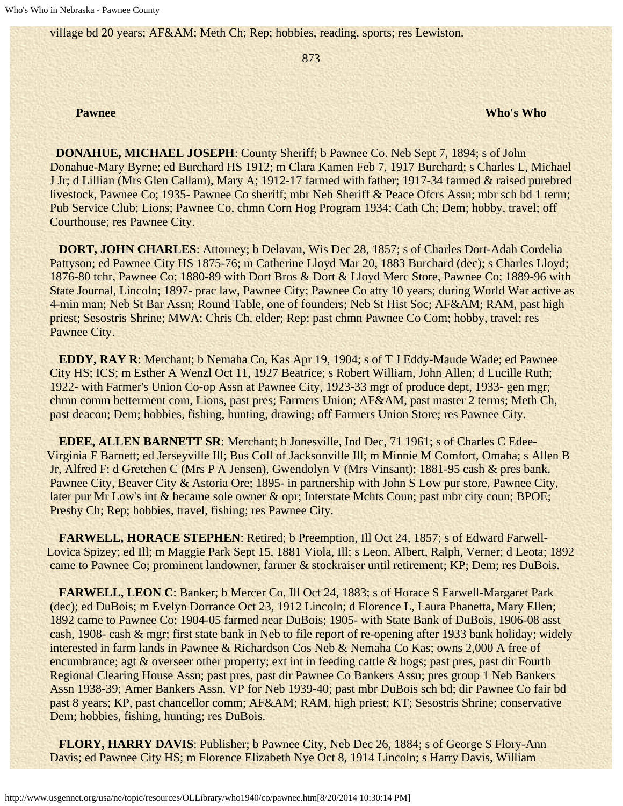village bd 20 years; AF&AM; Meth Ch; Rep; hobbies, reading, sports; res Lewiston.

873

**Pawnee Who's Who's Who** 

 **DONAHUE, MICHAEL JOSEPH**: County Sheriff; b Pawnee Co. Neb Sept 7, 1894; s of John Donahue-Mary Byrne; ed Burchard HS 1912; m Clara Kamen Feb 7, 1917 Burchard; s Charles L, Michael J Jr; d Lillian (Mrs Glen Callam), Mary A; 1912-17 farmed with father; 1917-34 farmed & raised purebred livestock, Pawnee Co; 1935- Pawnee Co sheriff; mbr Neb Sheriff & Peace Ofcrs Assn; mbr sch bd 1 term; Pub Service Club; Lions; Pawnee Co, chmn Corn Hog Program 1934; Cath Ch; Dem; hobby, travel; off Courthouse; res Pawnee City.

 **DORT, JOHN CHARLES**: Attorney; b Delavan, Wis Dec 28, 1857; s of Charles Dort-Adah Cordelia Pattyson; ed Pawnee City HS 1875-76; m Catherine Lloyd Mar 20, 1883 Burchard (dec); s Charles Lloyd; 1876-80 tchr, Pawnee Co; 1880-89 with Dort Bros & Dort & Lloyd Merc Store, Pawnee Co; 1889-96 with State Journal, Lincoln; 1897- prac law, Pawnee City; Pawnee Co atty 10 years; during World War active as 4-min man; Neb St Bar Assn; Round Table, one of founders; Neb St Hist Soc; AF&AM; RAM, past high priest; Sesostris Shrine; MWA; Chris Ch, elder; Rep; past chmn Pawnee Co Com; hobby, travel; res Pawnee City.

 **EDDY, RAY R**: Merchant; b Nemaha Co, Kas Apr 19, 1904; s of T J Eddy-Maude Wade; ed Pawnee City HS; ICS; m Esther A Wenzl Oct 11, 1927 Beatrice; s Robert William, John Allen; d Lucille Ruth; 1922- with Farmer's Union Co-op Assn at Pawnee City, 1923-33 mgr of produce dept, 1933- gen mgr; chmn comm betterment com, Lions, past pres; Farmers Union; AF&AM, past master 2 terms; Meth Ch, past deacon; Dem; hobbies, fishing, hunting, drawing; off Farmers Union Store; res Pawnee City.

 **EDEE, ALLEN BARNETT SR**: Merchant; b Jonesville, Ind Dec, 71 1961; s of Charles C Edee-Virginia F Barnett; ed Jerseyville Ill; Bus Coll of Jacksonville Ill; m Minnie M Comfort, Omaha; s Allen B Jr, Alfred F; d Gretchen C (Mrs P A Jensen), Gwendolyn V (Mrs Vinsant); 1881-95 cash & pres bank, Pawnee City, Beaver City & Astoria Ore; 1895- in partnership with John S Low pur store, Pawnee City, later pur Mr Low's int & became sole owner & opr; Interstate Mchts Coun; past mbr city coun; BPOE; Presby Ch; Rep; hobbies, travel, fishing; res Pawnee City.

 **FARWELL, HORACE STEPHEN**: Retired; b Preemption, Ill Oct 24, 1857; s of Edward Farwell-Lovica Spizey; ed Ill; m Maggie Park Sept 15, 1881 Viola, Ill; s Leon, Albert, Ralph, Verner; d Leota; 1892 came to Pawnee Co; prominent landowner, farmer & stockraiser until retirement; KP; Dem; res DuBois.

 **FARWELL, LEON C**: Banker; b Mercer Co, Ill Oct 24, 1883; s of Horace S Farwell-Margaret Park (dec); ed DuBois; m Evelyn Dorrance Oct 23, 1912 Lincoln; d Florence L, Laura Phanetta, Mary Ellen; 1892 came to Pawnee Co; 1904-05 farmed near DuBois; 1905- with State Bank of DuBois, 1906-08 asst cash, 1908- cash & mgr; first state bank in Neb to file report of re-opening after 1933 bank holiday; widely interested in farm lands in Pawnee & Richardson Cos Neb & Nemaha Co Kas; owns 2,000 A free of encumbrance; agt & overseer other property; ext int in feeding cattle & hogs; past pres, past dir Fourth Regional Clearing House Assn; past pres, past dir Pawnee Co Bankers Assn; pres group 1 Neb Bankers Assn 1938-39; Amer Bankers Assn, VP for Neb 1939-40; past mbr DuBois sch bd; dir Pawnee Co fair bd past 8 years; KP, past chancellor comm; AF&AM; RAM, high priest; KT; Sesostris Shrine; conservative Dem; hobbies, fishing, hunting; res DuBois.

 **FLORY, HARRY DAVIS**: Publisher; b Pawnee City, Neb Dec 26, 1884; s of George S Flory-Ann Davis; ed Pawnee City HS; m Florence Elizabeth Nye Oct 8, 1914 Lincoln; s Harry Davis, William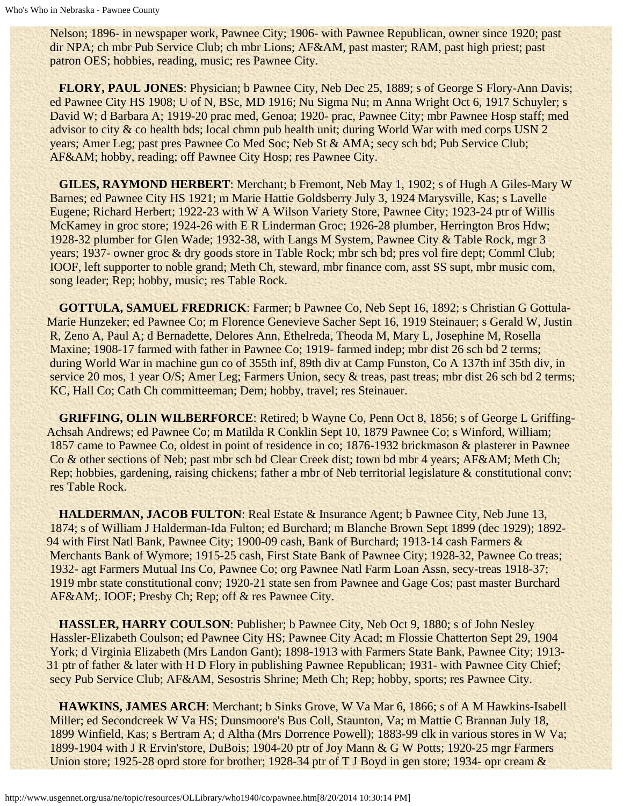Nelson; 1896- in newspaper work, Pawnee City; 1906- with Pawnee Republican, owner since 1920; past dir NPA; ch mbr Pub Service Club; ch mbr Lions; AF&AM, past master; RAM, past high priest; past patron OES; hobbies, reading, music; res Pawnee City.

 **FLORY, PAUL JONES**: Physician; b Pawnee City, Neb Dec 25, 1889; s of George S Flory-Ann Davis; ed Pawnee City HS 1908; U of N, BSc, MD 1916; Nu Sigma Nu; m Anna Wright Oct 6, 1917 Schuyler; s David W; d Barbara A; 1919-20 prac med, Genoa; 1920- prac, Pawnee City; mbr Pawnee Hosp staff; med advisor to city & co health bds; local chmn pub health unit; during World War with med corps USN 2 years; Amer Leg; past pres Pawnee Co Med Soc; Neb St & AMA; secy sch bd; Pub Service Club; AF&AM; hobby, reading; off Pawnee City Hosp; res Pawnee City.

 **GILES, RAYMOND HERBERT**: Merchant; b Fremont, Neb May 1, 1902; s of Hugh A Giles-Mary W Barnes; ed Pawnee City HS 1921; m Marie Hattie Goldsberry July 3, 1924 Marysville, Kas; s Lavelle Eugene; Richard Herbert; 1922-23 with W A Wilson Variety Store, Pawnee City; 1923-24 ptr of Willis McKamey in groc store; 1924-26 with E R Linderman Groc; 1926-28 plumber, Herrington Bros Hdw; 1928-32 plumber for Glen Wade; 1932-38, with Langs M System, Pawnee City & Table Rock, mgr 3 years; 1937- owner groc & dry goods store in Table Rock; mbr sch bd; pres vol fire dept; Comml Club; IOOF, left supporter to noble grand; Meth Ch, steward, mbr finance com, asst SS supt, mbr music com, song leader; Rep; hobby, music; res Table Rock.

 **GOTTULA, SAMUEL FREDRICK**: Farmer; b Pawnee Co, Neb Sept 16, 1892; s Christian G Gottula-Marie Hunzeker; ed Pawnee Co; m Florence Genevieve Sacher Sept 16, 1919 Steinauer; s Gerald W, Justin R, Zeno A, Paul A; d Bernadette, Delores Ann, Ethelreda, Theoda M, Mary L, Josephine M, Rosella Maxine; 1908-17 farmed with father in Pawnee Co; 1919- farmed indep; mbr dist 26 sch bd 2 terms; during World War in machine gun co of 355th inf, 89th div at Camp Funston, Co A 137th inf 35th div, in service 20 mos, 1 year O/S; Amer Leg; Farmers Union, secy & treas, past treas; mbr dist 26 sch bd 2 terms; KC, Hall Co; Cath Ch committeeman; Dem; hobby, travel; res Steinauer.

 **GRIFFING, OLIN WILBERFORCE**: Retired; b Wayne Co, Penn Oct 8, 1856; s of George L Griffing-Achsah Andrews; ed Pawnee Co; m Matilda R Conklin Sept 10, 1879 Pawnee Co; s Winford, William; 1857 came to Pawnee Co, oldest in point of residence in co; 1876-1932 brickmason & plasterer in Pawnee Co & other sections of Neb; past mbr sch bd Clear Creek dist; town bd mbr 4 years; AF&AM; Meth Ch; Rep; hobbies, gardening, raising chickens; father a mbr of Neb territorial legislature & constitutional conv; res Table Rock.

 **HALDERMAN, JACOB FULTON**: Real Estate & Insurance Agent; b Pawnee City, Neb June 13, 1874; s of William J Halderman-Ida Fulton; ed Burchard; m Blanche Brown Sept 1899 (dec 1929); 1892- 94 with First Natl Bank, Pawnee City; 1900-09 cash, Bank of Burchard; 1913-14 cash Farmers & Merchants Bank of Wymore; 1915-25 cash, First State Bank of Pawnee City; 1928-32, Pawnee Co treas; 1932- agt Farmers Mutual Ins Co, Pawnee Co; org Pawnee Natl Farm Loan Assn, secy-treas 1918-37; 1919 mbr state constitutional conv; 1920-21 state sen from Pawnee and Gage Cos; past master Burchard AF&AM;. IOOF; Presby Ch; Rep; off & res Pawnee City.

 **HASSLER, HARRY COULSON**: Publisher; b Pawnee City, Neb Oct 9, 1880; s of John Nesley Hassler-Elizabeth Coulson; ed Pawnee City HS; Pawnee City Acad; m Flossie Chatterton Sept 29, 1904 York; d Virginia Elizabeth (Mrs Landon Gant); 1898-1913 with Farmers State Bank, Pawnee City; 1913- 31 ptr of father & later with H D Flory in publishing Pawnee Republican; 1931- with Pawnee City Chief; secy Pub Service Club; AF&AM, Sesostris Shrine; Meth Ch; Rep; hobby, sports; res Pawnee City.

 **HAWKINS, JAMES ARCH**: Merchant; b Sinks Grove, W Va Mar 6, 1866; s of A M Hawkins-Isabell Miller; ed Secondcreek W Va HS; Dunsmoore's Bus Coll, Staunton, Va; m Mattie C Brannan July 18, 1899 Winfield, Kas; s Bertram A; d Altha (Mrs Dorrence Powell); 1883-99 clk in various stores in W Va; 1899-1904 with J R Ervin'store, DuBois; 1904-20 ptr of Joy Mann & G W Potts; 1920-25 mgr Farmers Union store; 1925-28 oprd store for brother; 1928-34 ptr of T J Boyd in gen store; 1934- opr cream &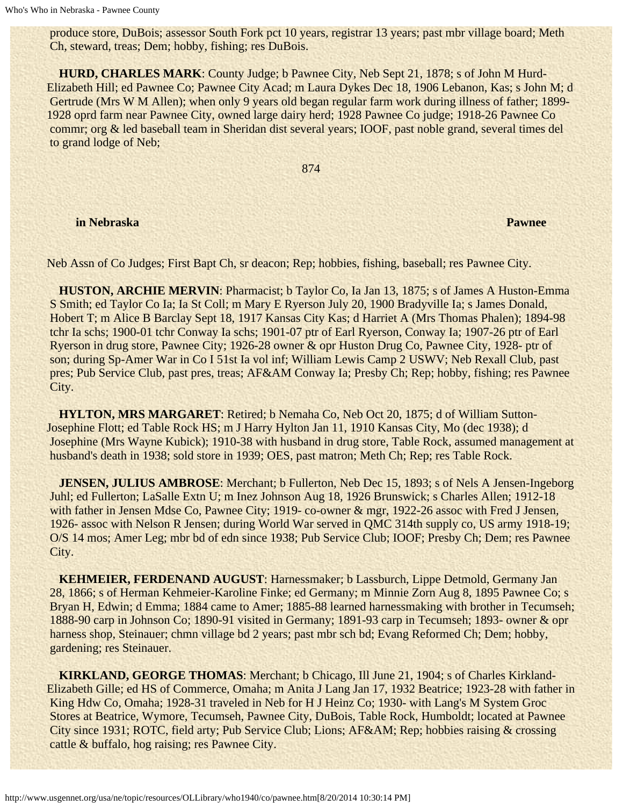produce store, DuBois; assessor South Fork pct 10 years, registrar 13 years; past mbr village board; Meth Ch, steward, treas; Dem; hobby, fishing; res DuBois.

 **HURD, CHARLES MARK**: County Judge; b Pawnee City, Neb Sept 21, 1878; s of John M Hurd-Elizabeth Hill; ed Pawnee Co; Pawnee City Acad; m Laura Dykes Dec 18, 1906 Lebanon, Kas; s John M; d Gertrude (Mrs W M Allen); when only 9 years old began regular farm work during illness of father; 1899- 1928 oprd farm near Pawnee City, owned large dairy herd; 1928 Pawnee Co judge; 1918-26 Pawnee Co commr; org & led baseball team in Sheridan dist several years; IOOF, past noble grand, several times del to grand lodge of Neb;

874

**in Nebraska Pawnee**

Neb Assn of Co Judges; First Bapt Ch, sr deacon; Rep; hobbies, fishing, baseball; res Pawnee City.

 **HUSTON, ARCHIE MERVIN**: Pharmacist; b Taylor Co, Ia Jan 13, 1875; s of James A Huston-Emma S Smith; ed Taylor Co Ia; Ia St Coll; m Mary E Ryerson July 20, 1900 Bradyville Ia; s James Donald, Hobert T; m Alice B Barclay Sept 18, 1917 Kansas City Kas; d Harriet A (Mrs Thomas Phalen); 1894-98 tchr Ia schs; 1900-01 tchr Conway Ia schs; 1901-07 ptr of Earl Ryerson, Conway Ia; 1907-26 ptr of Earl Ryerson in drug store, Pawnee City; 1926-28 owner & opr Huston Drug Co, Pawnee City, 1928- ptr of son; during Sp-Amer War in Co I 51st Ia vol inf; William Lewis Camp 2 USWV; Neb Rexall Club, past pres; Pub Service Club, past pres, treas; AF&AM Conway Ia; Presby Ch; Rep; hobby, fishing; res Pawnee City.

 **HYLTON, MRS MARGARET**: Retired; b Nemaha Co, Neb Oct 20, 1875; d of William Sutton-Josephine Flott; ed Table Rock HS; m J Harry Hylton Jan 11, 1910 Kansas City, Mo (dec 1938); d Josephine (Mrs Wayne Kubick); 1910-38 with husband in drug store, Table Rock, assumed management at husband's death in 1938; sold store in 1939; OES, past matron; Meth Ch; Rep; res Table Rock.

**JENSEN, JULIUS AMBROSE:** Merchant; b Fullerton, Neb Dec 15, 1893; s of Nels A Jensen-Ingeborg Juhl; ed Fullerton; LaSalle Extn U; m Inez Johnson Aug 18, 1926 Brunswick; s Charles Allen; 1912-18 with father in Jensen Mdse Co, Pawnee City; 1919- co-owner & mgr, 1922-26 assoc with Fred J Jensen, 1926- assoc with Nelson R Jensen; during World War served in QMC 314th supply co, US army 1918-19; O/S 14 mos; Amer Leg; mbr bd of edn since 1938; Pub Service Club; IOOF; Presby Ch; Dem; res Pawnee City.

 **KEHMEIER, FERDENAND AUGUST**: Harnessmaker; b Lassburch, Lippe Detmold, Germany Jan 28, 1866; s of Herman Kehmeier-Karoline Finke; ed Germany; m Minnie Zorn Aug 8, 1895 Pawnee Co; s Bryan H, Edwin; d Emma; 1884 came to Amer; 1885-88 learned harnessmaking with brother in Tecumseh; 1888-90 carp in Johnson Co; 1890-91 visited in Germany; 1891-93 carp in Tecumseh; 1893- owner & opr harness shop, Steinauer; chmn village bd 2 years; past mbr sch bd; Evang Reformed Ch; Dem; hobby, gardening; res Steinauer.

 **KIRKLAND, GEORGE THOMAS**: Merchant; b Chicago, Ill June 21, 1904; s of Charles Kirkland-Elizabeth Gille; ed HS of Commerce, Omaha; m Anita J Lang Jan 17, 1932 Beatrice; 1923-28 with father in King Hdw Co, Omaha; 1928-31 traveled in Neb for H J Heinz Co; 1930- with Lang's M System Groc Stores at Beatrice, Wymore, Tecumseh, Pawnee City, DuBois, Table Rock, Humboldt; located at Pawnee City since 1931; ROTC, field arty; Pub Service Club; Lions; AF&AM; Rep; hobbies raising & crossing cattle & buffalo, hog raising; res Pawnee City.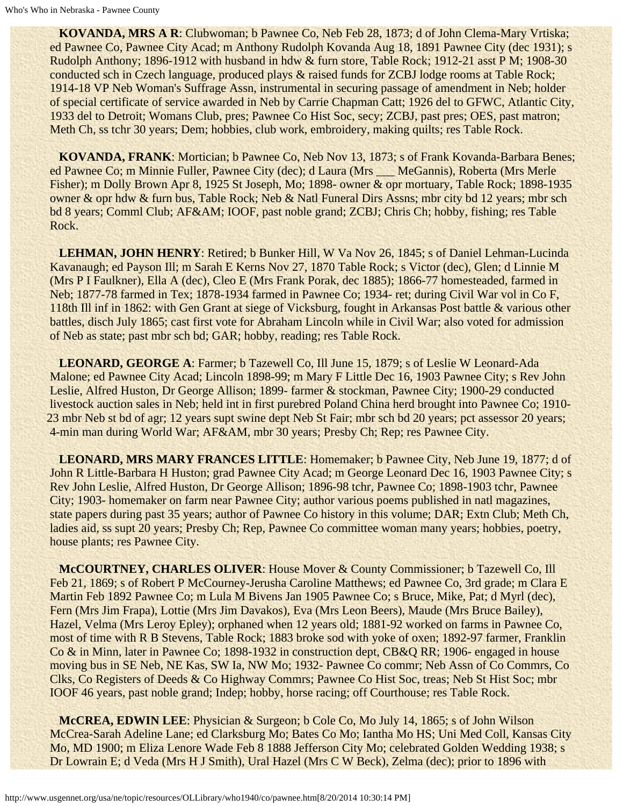**KOVANDA, MRS A R**: Clubwoman; b Pawnee Co, Neb Feb 28, 1873; d of John Clema-Mary Vrtiska; ed Pawnee Co, Pawnee City Acad; m Anthony Rudolph Kovanda Aug 18, 1891 Pawnee City (dec 1931); s Rudolph Anthony; 1896-1912 with husband in hdw & furn store, Table Rock; 1912-21 asst P M; 1908-30 conducted sch in Czech language, produced plays & raised funds for ZCBJ lodge rooms at Table Rock; 1914-18 VP Neb Woman's Suffrage Assn, instrumental in securing passage of amendment in Neb; holder of special certificate of service awarded in Neb by Carrie Chapman Catt; 1926 del to GFWC, Atlantic City, 1933 del to Detroit; Womans Club, pres; Pawnee Co Hist Soc, secy; ZCBJ, past pres; OES, past matron; Meth Ch, ss tchr 30 years; Dem; hobbies, club work, embroidery, making quilts; res Table Rock.

 **KOVANDA, FRANK**: Mortician; b Pawnee Co, Neb Nov 13, 1873; s of Frank Kovanda-Barbara Benes; ed Pawnee Co; m Minnie Fuller, Pawnee City (dec); d Laura (Mrs \_\_\_ MeGannis), Roberta (Mrs Merle Fisher); m Dolly Brown Apr 8, 1925 St Joseph, Mo; 1898- owner & opr mortuary, Table Rock; 1898-1935 owner & opr hdw & furn bus, Table Rock; Neb & Natl Funeral Dirs Assns; mbr city bd 12 years; mbr sch bd 8 years; Comml Club; AF&AM; IOOF, past noble grand; ZCBJ; Chris Ch; hobby, fishing; res Table Rock.

 **LEHMAN, JOHN HENRY**: Retired; b Bunker Hill, W Va Nov 26, 1845; s of Daniel Lehman-Lucinda Kavanaugh; ed Payson Ill; m Sarah E Kerns Nov 27, 1870 Table Rock; s Victor (dec), Glen; d Linnie M (Mrs P I Faulkner), Ella A (dec), Cleo E (Mrs Frank Porak, dec 1885); 1866-77 homesteaded, farmed in Neb; 1877-78 farmed in Tex; 1878-1934 farmed in Pawnee Co; 1934- ret; during Civil War vol in Co F, 118th Ill inf in 1862: with Gen Grant at siege of Vicksburg, fought in Arkansas Post battle & various other battles, disch July 1865; cast first vote for Abraham Lincoln while in Civil War; also voted for admission of Neb as state; past mbr sch bd; GAR; hobby, reading; res Table Rock.

 **LEONARD, GEORGE A**: Farmer; b Tazewell Co, Ill June 15, 1879; s of Leslie W Leonard-Ada Malone; ed Pawnee City Acad; Lincoln 1898-99; m Mary F Little Dec 16, 1903 Pawnee City; s Rev John Leslie, Alfred Huston, Dr George Allison; 1899- farmer & stockman, Pawnee City; 1900-29 conducted livestock auction sales in Neb; held int in first purebred Poland China herd brought into Pawnee Co; 1910- 23 mbr Neb st bd of agr; 12 years supt swine dept Neb St Fair; mbr sch bd 20 years; pct assessor 20 years; 4-min man during World War; AF&AM, mbr 30 years; Presby Ch; Rep; res Pawnee City.

 **LEONARD, MRS MARY FRANCES LITTLE**: Homemaker; b Pawnee City, Neb June 19, 1877; d of John R Little-Barbara H Huston; grad Pawnee City Acad; m George Leonard Dec 16, 1903 Pawnee City; s Rev John Leslie, Alfred Huston, Dr George Allison; 1896-98 tchr, Pawnee Co; 1898-1903 tchr, Pawnee City; 1903- homemaker on farm near Pawnee City; author various poems published in natl magazines, state papers during past 35 years; author of Pawnee Co history in this volume; DAR; Extn Club; Meth Ch, ladies aid, ss supt 20 years; Presby Ch; Rep, Pawnee Co committee woman many years; hobbies, poetry, house plants; res Pawnee City.

 **McCOURTNEY, CHARLES OLIVER**: House Mover & County Commissioner; b Tazewell Co, Ill Feb 21, 1869; s of Robert P McCourney-Jerusha Caroline Matthews; ed Pawnee Co, 3rd grade; m Clara E Martin Feb 1892 Pawnee Co; m Lula M Bivens Jan 1905 Pawnee Co; s Bruce, Mike, Pat; d Myrl (dec), Fern (Mrs Jim Frapa), Lottie (Mrs Jim Davakos), Eva (Mrs Leon Beers), Maude (Mrs Bruce Bailey), Hazel, Velma (Mrs Leroy Epley); orphaned when 12 years old; 1881-92 worked on farms in Pawnee Co, most of time with R B Stevens, Table Rock; 1883 broke sod with yoke of oxen; 1892-97 farmer, Franklin Co & in Minn, later in Pawnee Co; 1898-1932 in construction dept, CB&Q RR; 1906- engaged in house moving bus in SE Neb, NE Kas, SW Ia, NW Mo; 1932- Pawnee Co commr; Neb Assn of Co Commrs, Co Clks, Co Registers of Deeds & Co Highway Commrs; Pawnee Co Hist Soc, treas; Neb St Hist Soc; mbr IOOF 46 years, past noble grand; Indep; hobby, horse racing; off Courthouse; res Table Rock.

 **McCREA, EDWIN LEE**: Physician & Surgeon; b Cole Co, Mo July 14, 1865; s of John Wilson McCrea-Sarah Adeline Lane; ed Clarksburg Mo; Bates Co Mo; Iantha Mo HS; Uni Med Coll, Kansas City Mo, MD 1900; m Eliza Lenore Wade Feb 8 1888 Jefferson City Mo; celebrated Golden Wedding 1938; s Dr Lowrain E; d Veda (Mrs H J Smith), Ural Hazel (Mrs C W Beck), Zelma (dec); prior to 1896 with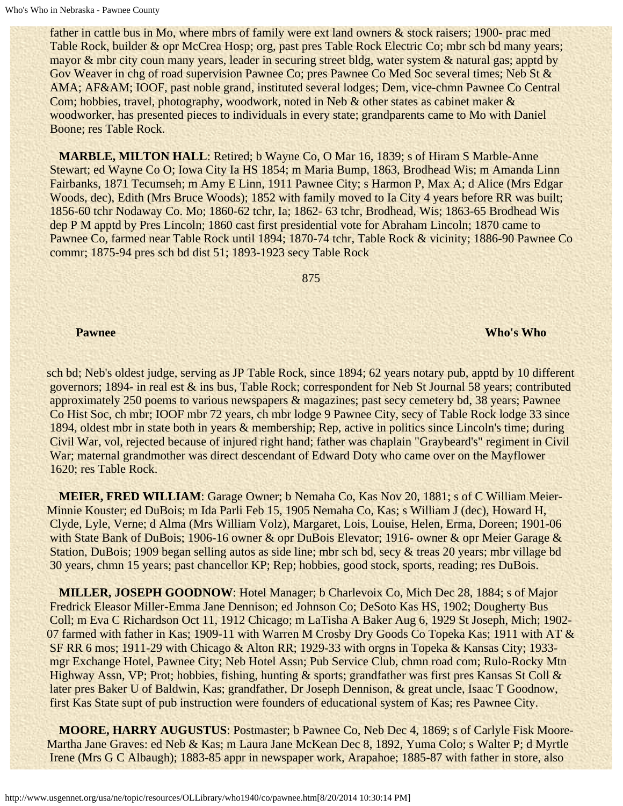father in cattle bus in Mo, where mbrs of family were ext land owners & stock raisers; 1900- prac med Table Rock, builder & opr McCrea Hosp; org, past pres Table Rock Electric Co; mbr sch bd many years; mayor & mbr city coun many years, leader in securing street bldg, water system & natural gas; apptd by Gov Weaver in chg of road supervision Pawnee Co; pres Pawnee Co Med Soc several times; Neb St & AMA; AF&AM; IOOF, past noble grand, instituted several lodges; Dem, vice-chmn Pawnee Co Central Com; hobbies, travel, photography, woodwork, noted in Neb & other states as cabinet maker & woodworker, has presented pieces to individuals in every state; grandparents came to Mo with Daniel Boone; res Table Rock.

 **MARBLE, MILTON HALL**: Retired; b Wayne Co, O Mar 16, 1839; s of Hiram S Marble-Anne Stewart; ed Wayne Co O; Iowa City Ia HS 1854; m Maria Bump, 1863, Brodhead Wis; m Amanda Linn Fairbanks, 1871 Tecumseh; m Amy E Linn, 1911 Pawnee City; s Harmon P, Max A; d Alice (Mrs Edgar Woods, dec), Edith (Mrs Bruce Woods); 1852 with family moved to Ia City 4 years before RR was built; 1856-60 tchr Nodaway Co. Mo; 1860-62 tchr, Ia; 1862- 63 tchr, Brodhead, Wis; 1863-65 Brodhead Wis dep P M apptd by Pres Lincoln; 1860 cast first presidential vote for Abraham Lincoln; 1870 came to Pawnee Co, farmed near Table Rock until 1894; 1870-74 tchr, Table Rock & vicinity; 1886-90 Pawnee Co commr; 1875-94 pres sch bd dist 51; 1893-1923 secy Table Rock

875

### **Pawnee Who's Who's Who**

sch bd; Neb's oldest judge, serving as JP Table Rock, since 1894; 62 years notary pub, apptd by 10 different governors; 1894- in real est & ins bus, Table Rock; correspondent for Neb St Journal 58 years; contributed approximately 250 poems to various newspapers & magazines; past secy cemetery bd, 38 years; Pawnee Co Hist Soc, ch mbr; IOOF mbr 72 years, ch mbr lodge 9 Pawnee City, secy of Table Rock lodge 33 since 1894, oldest mbr in state both in years & membership; Rep, active in politics since Lincoln's time; during Civil War, vol, rejected because of injured right hand; father was chaplain "Graybeard's" regiment in Civil War; maternal grandmother was direct descendant of Edward Doty who came over on the Mayflower 1620; res Table Rock.

 **MEIER, FRED WILLIAM**: Garage Owner; b Nemaha Co, Kas Nov 20, 1881; s of C William Meier-Minnie Kouster; ed DuBois; m Ida Parli Feb 15, 1905 Nemaha Co, Kas; s William J (dec), Howard H, Clyde, Lyle, Verne; d Alma (Mrs William Volz), Margaret, Lois, Louise, Helen, Erma, Doreen; 1901-06 with State Bank of DuBois; 1906-16 owner & opr DuBois Elevator; 1916- owner & opr Meier Garage & Station, DuBois; 1909 began selling autos as side line; mbr sch bd, secy & treas 20 years; mbr village bd 30 years, chmn 15 years; past chancellor KP; Rep; hobbies, good stock, sports, reading; res DuBois.

 **MILLER, JOSEPH GOODNOW**: Hotel Manager; b Charlevoix Co, Mich Dec 28, 1884; s of Major Fredrick Eleasor Miller-Emma Jane Dennison; ed Johnson Co; DeSoto Kas HS, 1902; Dougherty Bus Coll; m Eva C Richardson Oct 11, 1912 Chicago; m LaTisha A Baker Aug 6, 1929 St Joseph, Mich; 1902- 07 farmed with father in Kas; 1909-11 with Warren M Crosby Dry Goods Co Topeka Kas; 1911 with AT & SF RR 6 mos; 1911-29 with Chicago & Alton RR; 1929-33 with orgns in Topeka & Kansas City; 1933 mgr Exchange Hotel, Pawnee City; Neb Hotel Assn; Pub Service Club, chmn road com; Rulo-Rocky Mtn Highway Assn, VP; Prot; hobbies, fishing, hunting & sports; grandfather was first pres Kansas St Coll & later pres Baker U of Baldwin, Kas; grandfather, Dr Joseph Dennison, & great uncle, Isaac T Goodnow, first Kas State supt of pub instruction were founders of educational system of Kas; res Pawnee City.

 **MOORE, HARRY AUGUSTUS**: Postmaster; b Pawnee Co, Neb Dec 4, 1869; s of Carlyle Fisk Moore-Martha Jane Graves: ed Neb & Kas; m Laura Jane McKean Dec 8, 1892, Yuma Colo; s Walter P; d Myrtle Irene (Mrs G C Albaugh); 1883-85 appr in newspaper work, Arapahoe; 1885-87 with father in store, also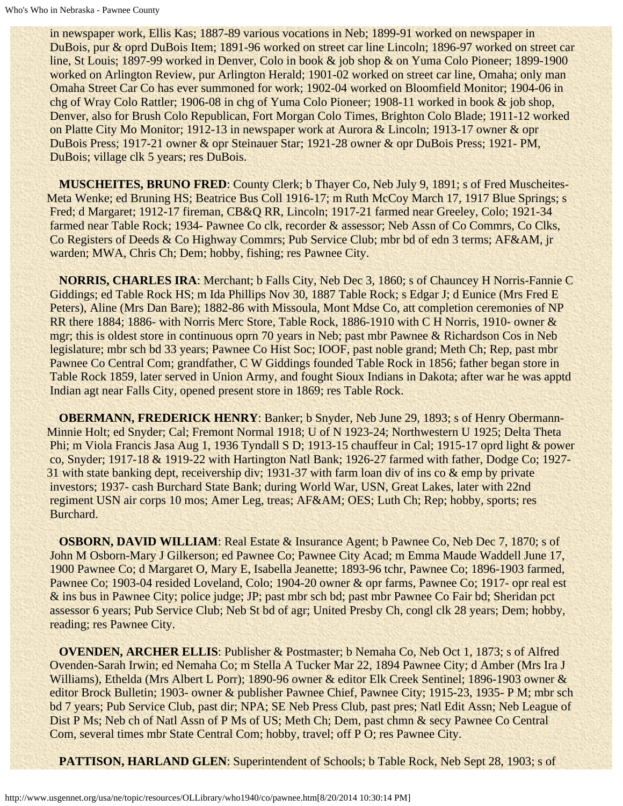in newspaper work, Ellis Kas; 1887-89 various vocations in Neb; 1899-91 worked on newspaper in DuBois, pur & oprd DuBois Item; 1891-96 worked on street car line Lincoln; 1896-97 worked on street car line, St Louis; 1897-99 worked in Denver, Colo in book & job shop & on Yuma Colo Pioneer; 1899-1900 worked on Arlington Review, pur Arlington Herald; 1901-02 worked on street car line, Omaha; only man Omaha Street Car Co has ever summoned for work; 1902-04 worked on Bloomfield Monitor; 1904-06 in chg of Wray Colo Rattler; 1906-08 in chg of Yuma Colo Pioneer; 1908-11 worked in book & job shop, Denver, also for Brush Colo Republican, Fort Morgan Colo Times, Brighton Colo Blade; 1911-12 worked on Platte City Mo Monitor; 1912-13 in newspaper work at Aurora & Lincoln; 1913-17 owner & opr DuBois Press; 1917-21 owner & opr Steinauer Star; 1921-28 owner & opr DuBois Press; 1921- PM, DuBois; village clk 5 years; res DuBois.

 **MUSCHEITES, BRUNO FRED**: County Clerk; b Thayer Co, Neb July 9, 1891; s of Fred Muscheites-Meta Wenke; ed Bruning HS; Beatrice Bus Coll 1916-17; m Ruth McCoy March 17, 1917 Blue Springs; s Fred; d Margaret; 1912-17 fireman, CB&Q RR, Lincoln; 1917-21 farmed near Greeley, Colo; 1921-34 farmed near Table Rock; 1934- Pawnee Co clk, recorder & assessor; Neb Assn of Co Commrs, Co Clks, Co Registers of Deeds & Co Highway Commrs; Pub Service Club; mbr bd of edn 3 terms; AF&AM, jr warden; MWA, Chris Ch; Dem; hobby, fishing; res Pawnee City.

 **NORRIS, CHARLES IRA**: Merchant; b Falls City, Neb Dec 3, 1860; s of Chauncey H Norris-Fannie C Giddings; ed Table Rock HS; m Ida Phillips Nov 30, 1887 Table Rock; s Edgar J; d Eunice (Mrs Fred E Peters), Aline (Mrs Dan Bare); 1882-86 with Missoula, Mont Mdse Co, att completion ceremonies of NP RR there 1884; 1886- with Norris Merc Store, Table Rock, 1886-1910 with C H Norris, 1910- owner & mgr; this is oldest store in continuous oprn 70 years in Neb; past mbr Pawnee & Richardson Cos in Neb legislature; mbr sch bd 33 years; Pawnee Co Hist Soc; IOOF, past noble grand; Meth Ch; Rep, past mbr Pawnee Co Central Com; grandfather, C W Giddings founded Table Rock in 1856; father began store in Table Rock 1859, later served in Union Army, and fought Sioux Indians in Dakota; after war he was apptd Indian agt near Falls City, opened present store in 1869; res Table Rock.

**OBERMANN, FREDERICK HENRY: Banker; b Snyder, Neb June 29, 1893; s of Henry Obermann-**Minnie Holt; ed Snyder; Cal; Fremont Normal 1918; U of N 1923-24; Northwestern U 1925; Delta Theta Phi; m Viola Francis Jasa Aug 1, 1936 Tyndall S D; 1913-15 chauffeur in Cal; 1915-17 oprd light & power co, Snyder; 1917-18 & 1919-22 with Hartington Natl Bank; 1926-27 farmed with father, Dodge Co; 1927- 31 with state banking dept, receivership div; 1931-37 with farm loan div of ins co & emp by private investors; 1937- cash Burchard State Bank; during World War, USN, Great Lakes, later with 22nd regiment USN air corps 10 mos; Amer Leg, treas; AF&AM; OES; Luth Ch; Rep; hobby, sports; res Burchard.

**OSBORN, DAVID WILLIAM:** Real Estate & Insurance Agent; b Pawnee Co, Neb Dec 7, 1870; s of John M Osborn-Mary J Gilkerson; ed Pawnee Co; Pawnee City Acad; m Emma Maude Waddell June 17, 1900 Pawnee Co; d Margaret O, Mary E, Isabella Jeanette; 1893-96 tchr, Pawnee Co; 1896-1903 farmed, Pawnee Co; 1903-04 resided Loveland, Colo; 1904-20 owner & opr farms, Pawnee Co; 1917- opr real est & ins bus in Pawnee City; police judge; JP; past mbr sch bd; past mbr Pawnee Co Fair bd; Sheridan pct assessor 6 years; Pub Service Club; Neb St bd of agr; United Presby Ch, congl clk 28 years; Dem; hobby, reading; res Pawnee City.

 **OVENDEN, ARCHER ELLIS**: Publisher & Postmaster; b Nemaha Co, Neb Oct 1, 1873; s of Alfred Ovenden-Sarah Irwin; ed Nemaha Co; m Stella A Tucker Mar 22, 1894 Pawnee City; d Amber (Mrs Ira J Williams), Ethelda (Mrs Albert L Porr); 1890-96 owner & editor Elk Creek Sentinel; 1896-1903 owner & editor Brock Bulletin; 1903- owner & publisher Pawnee Chief, Pawnee City; 1915-23, 1935- P M; mbr sch bd 7 years; Pub Service Club, past dir; NPA; SE Neb Press Club, past pres; Natl Edit Assn; Neb League of Dist P Ms; Neb ch of Natl Assn of P Ms of US; Meth Ch; Dem, past chmn & secy Pawnee Co Central Com, several times mbr State Central Com; hobby, travel; off P O; res Pawnee City.

**PATTISON, HARLAND GLEN:** Superintendent of Schools; b Table Rock, Neb Sept 28, 1903; s of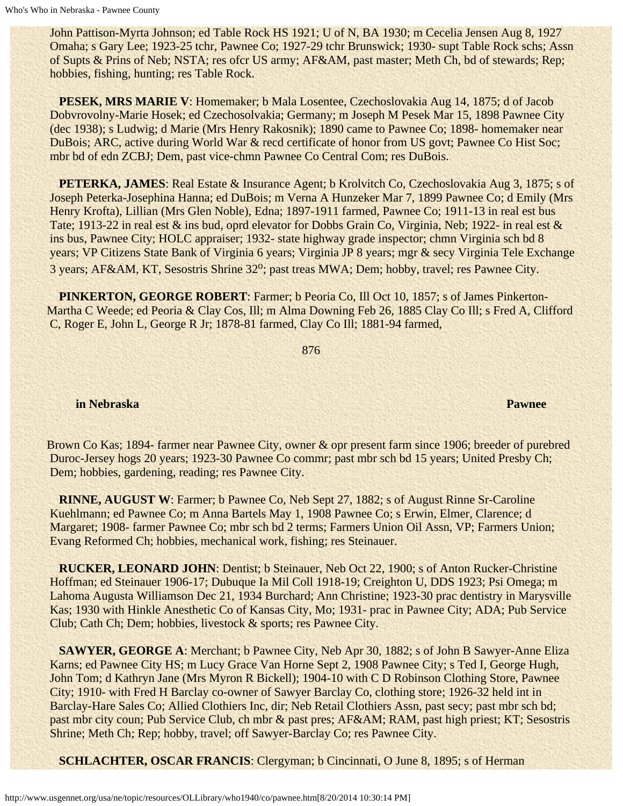John Pattison-Myrta Johnson; ed Table Rock HS 1921; U of N, BA 1930; m Cecelia Jensen Aug 8, 1927 Omaha; s Gary Lee; 1923-25 tchr, Pawnee Co; 1927-29 tchr Brunswick; 1930- supt Table Rock schs; Assn of Supts & Prins of Neb; NSTA; res ofcr US army; AF&AM, past master; Meth Ch, bd of stewards; Rep; hobbies, fishing, hunting; res Table Rock.

 **PESEK, MRS MARIE V**: Homemaker; b Mala Losentee, Czechoslovakia Aug 14, 1875; d of Jacob Dobvrovolny-Marie Hosek; ed Czechosolvakia; Germany; m Joseph M Pesek Mar 15, 1898 Pawnee City (dec 1938); s Ludwig; d Marie (Mrs Henry Rakosnik); 1890 came to Pawnee Co; 1898- homemaker near DuBois; ARC, active during World War & recd certificate of honor from US govt; Pawnee Co Hist Soc; mbr bd of edn ZCBJ; Dem, past vice-chmn Pawnee Co Central Com; res DuBois.

 **PETERKA, JAMES**: Real Estate & Insurance Agent; b Krolvitch Co, Czechoslovakia Aug 3, 1875; s of Joseph Peterka-Josephina Hanna; ed DuBois; m Verna A Hunzeker Mar 7, 1899 Pawnee Co; d Emily (Mrs Henry Krofta), Lillian (Mrs Glen Noble), Edna; 1897-1911 farmed, Pawnee Co; 1911-13 in real est bus Tate; 1913-22 in real est & ins bud, oprd elevator for Dobbs Grain Co, Virginia, Neb; 1922- in real est & ins bus, Pawnee City; HOLC appraiser; 1932- state highway grade inspector; chmn Virginia sch bd 8 years; VP Citizens State Bank of Virginia 6 years; Virginia JP 8 years; mgr & secy Virginia Tele Exchange 3 years; AF&AM, KT, Sesostris Shrine 32<sup>o</sup>; past treas MWA; Dem; hobby, travel; res Pawnee City.

 **PINKERTON, GEORGE ROBERT**: Farmer; b Peoria Co, Ill Oct 10, 1857; s of James Pinkerton-Martha C Weede; ed Peoria & Clay Cos, Ill; m Alma Downing Feb 26, 1885 Clay Co Ill; s Fred A, Clifford C, Roger E, John L, George R Jr; 1878-81 farmed, Clay Co Ill; 1881-94 farmed,

876

### **in Nebraska Pawnee**

Brown Co Kas; 1894- farmer near Pawnee City, owner & opr present farm since 1906; breeder of purebred Duroc-Jersey hogs 20 years; 1923-30 Pawnee Co commr; past mbr sch bd 15 years; United Presby Ch; Dem; hobbies, gardening, reading; res Pawnee City.

 **RINNE, AUGUST W**: Farmer; b Pawnee Co, Neb Sept 27, 1882; s of August Rinne Sr-Caroline Kuehlmann; ed Pawnee Co; m Anna Bartels May 1, 1908 Pawnee Co; s Erwin, Elmer, Clarence; d Margaret; 1908- farmer Pawnee Co; mbr sch bd 2 terms; Farmers Union Oil Assn, VP; Farmers Union; Evang Reformed Ch; hobbies, mechanical work, fishing; res Steinauer.

 **RUCKER, LEONARD JOHN**: Dentist; b Steinauer, Neb Oct 22, 1900; s of Anton Rucker-Christine Hoffman; ed Steinauer 1906-17; Dubuque Ia Mil Coll 1918-19; Creighton U, DDS 1923; Psi Omega; m Lahoma Augusta Williamson Dec 21, 1934 Burchard; Ann Christine; 1923-30 prac dentistry in Marysville Kas; 1930 with Hinkle Anesthetic Co of Kansas City, Mo; 1931- prac in Pawnee City; ADA; Pub Service Club; Cath Ch; Dem; hobbies, livestock & sports; res Pawnee City.

**SAWYER, GEORGE A:** Merchant; b Pawnee City, Neb Apr 30, 1882; s of John B Sawyer-Anne Eliza Karns; ed Pawnee City HS; m Lucy Grace Van Horne Sept 2, 1908 Pawnee City; s Ted I, George Hugh, John Tom; d Kathryn Jane (Mrs Myron R Bickell); 1904-10 with C D Robinson Clothing Store, Pawnee City; 1910- with Fred H Barclay co-owner of Sawyer Barclay Co, clothing store; 1926-32 held int in Barclay-Hare Sales Co; Allied Clothiers Inc, dir; Neb Retail Clothiers Assn, past secy; past mbr sch bd; past mbr city coun; Pub Service Club, ch mbr & past pres; AF&AM; RAM, past high priest; KT; Sesostris Shrine; Meth Ch; Rep; hobby, travel; off Sawyer-Barclay Co; res Pawnee City.

**SCHLACHTER, OSCAR FRANCIS:** Clergyman; b Cincinnati, O June 8, 1895; s of Herman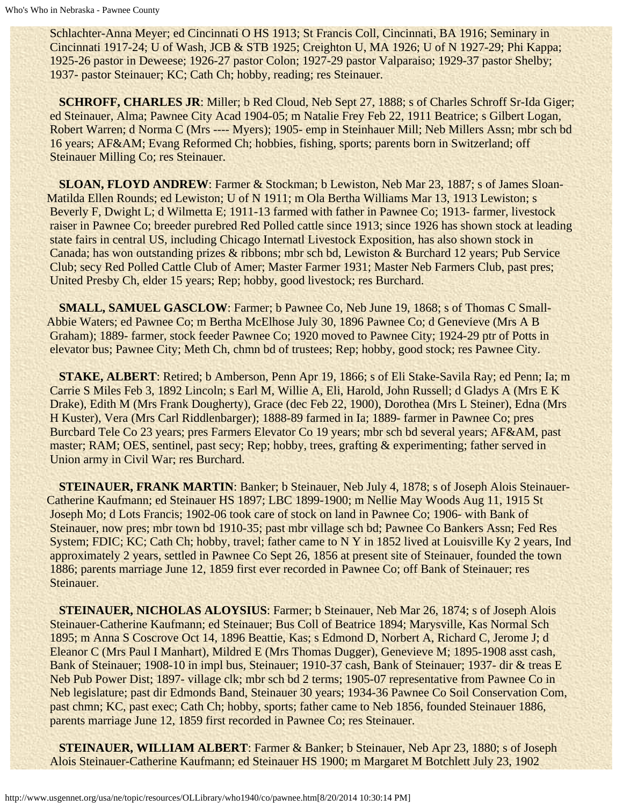Schlachter-Anna Meyer; ed Cincinnati O HS 1913; St Francis Coll, Cincinnati, BA 1916; Seminary in Cincinnati 1917-24; U of Wash, JCB & STB 1925; Creighton U, MA 1926; U of N 1927-29; Phi Kappa; 1925-26 pastor in Deweese; 1926-27 pastor Colon; 1927-29 pastor Valparaiso; 1929-37 pastor Shelby; 1937- pastor Steinauer; KC; Cath Ch; hobby, reading; res Steinauer.

 **SCHROFF, CHARLES JR**: Miller; b Red Cloud, Neb Sept 27, 1888; s of Charles Schroff Sr-Ida Giger; ed Steinauer, Alma; Pawnee City Acad 1904-05; m Natalie Frey Feb 22, 1911 Beatrice; s Gilbert Logan, Robert Warren; d Norma C (Mrs ---- Myers); 1905- emp in Steinhauer Mill; Neb Millers Assn; mbr sch bd 16 years; AF&AM; Evang Reformed Ch; hobbies, fishing, sports; parents born in Switzerland; off Steinauer Milling Co; res Steinauer.

 **SLOAN, FLOYD ANDREW**: Farmer & Stockman; b Lewiston, Neb Mar 23, 1887; s of James Sloan-Matilda Ellen Rounds; ed Lewiston; U of N 1911; m Ola Bertha Williams Mar 13, 1913 Lewiston; s Beverly F, Dwight L; d Wilmetta E; 1911-13 farmed with father in Pawnee Co; 1913- farmer, livestock raiser in Pawnee Co; breeder purebred Red Polled cattle since 1913; since 1926 has shown stock at leading state fairs in central US, including Chicago Internatl Livestock Exposition, has also shown stock in Canada; has won outstanding prizes & ribbons; mbr sch bd, Lewiston & Burchard 12 years; Pub Service Club; secy Red Polled Cattle Club of Amer; Master Farmer 1931; Master Neb Farmers Club, past pres; United Presby Ch, elder 15 years; Rep; hobby, good livestock; res Burchard.

**SMALL, SAMUEL GASCLOW: Farmer; b Pawnee Co, Neb June 19, 1868; s of Thomas C Small-**Abbie Waters; ed Pawnee Co; m Bertha McElhose July 30, 1896 Pawnee Co; d Genevieve (Mrs A B Graham); 1889- farmer, stock feeder Pawnee Co; 1920 moved to Pawnee City; 1924-29 ptr of Potts in elevator bus; Pawnee City; Meth Ch, chmn bd of trustees; Rep; hobby, good stock; res Pawnee City.

 **STAKE, ALBERT**: Retired; b Amberson, Penn Apr 19, 1866; s of Eli Stake-Savila Ray; ed Penn; Ia; m Carrie S Miles Feb 3, 1892 Lincoln; s Earl M, Willie A, Eli, Harold, John Russell; d Gladys A (Mrs E K Drake), Edith M (Mrs Frank Dougherty), Grace (dec Feb 22, 1900), Dorothea (Mrs L Steiner), Edna (Mrs H Kuster), Vera (Mrs Carl Riddlenbarger); 1888-89 farmed in Ia; 1889- farmer in Pawnee Co; pres Burcbard Tele Co 23 years; pres Farmers Elevator Co 19 years; mbr sch bd several years; AF&AM, past master; RAM; OES, sentinel, past secy; Rep; hobby, trees, grafting & experimenting; father served in Union army in Civil War; res Burchard.

**STEINAUER, FRANK MARTIN: Banker; b Steinauer, Neb July 4, 1878; s of Joseph Alois Steinauer-**Catherine Kaufmann; ed Steinauer HS 1897; LBC 1899-1900; m Nellie May Woods Aug 11, 1915 St Joseph Mo; d Lots Francis; 1902-06 took care of stock on land in Pawnee Co; 1906- with Bank of Steinauer, now pres; mbr town bd 1910-35; past mbr village sch bd; Pawnee Co Bankers Assn; Fed Res System; FDIC; KC; Cath Ch; hobby, travel; father came to N Y in 1852 lived at Louisville Ky 2 years, Ind approximately 2 years, settled in Pawnee Co Sept 26, 1856 at present site of Steinauer, founded the town 1886; parents marriage June 12, 1859 first ever recorded in Pawnee Co; off Bank of Steinauer; res Steinauer.

 **STEINAUER, NICHOLAS ALOYSIUS**: Farmer; b Steinauer, Neb Mar 26, 1874; s of Joseph Alois Steinauer-Catherine Kaufmann; ed Steinauer; Bus Coll of Beatrice 1894; Marysville, Kas Normal Sch 1895; m Anna S Coscrove Oct 14, 1896 Beattie, Kas; s Edmond D, Norbert A, Richard C, Jerome J; d Eleanor C (Mrs Paul I Manhart), Mildred E (Mrs Thomas Dugger), Genevieve M; 1895-1908 asst cash, Bank of Steinauer; 1908-10 in impl bus, Steinauer; 1910-37 cash, Bank of Steinauer; 1937- dir & treas E Neb Pub Power Dist; 1897- village clk; mbr sch bd 2 terms; 1905-07 representative from Pawnee Co in Neb legislature; past dir Edmonds Band, Steinauer 30 years; 1934-36 Pawnee Co Soil Conservation Com, past chmn; KC, past exec; Cath Ch; hobby, sports; father came to Neb 1856, founded Steinauer 1886, parents marriage June 12, 1859 first recorded in Pawnee Co; res Steinauer.

 **STEINAUER, WILLIAM ALBERT**: Farmer & Banker; b Steinauer, Neb Apr 23, 1880; s of Joseph Alois Steinauer-Catherine Kaufmann; ed Steinauer HS 1900; m Margaret M Botchlett July 23, 1902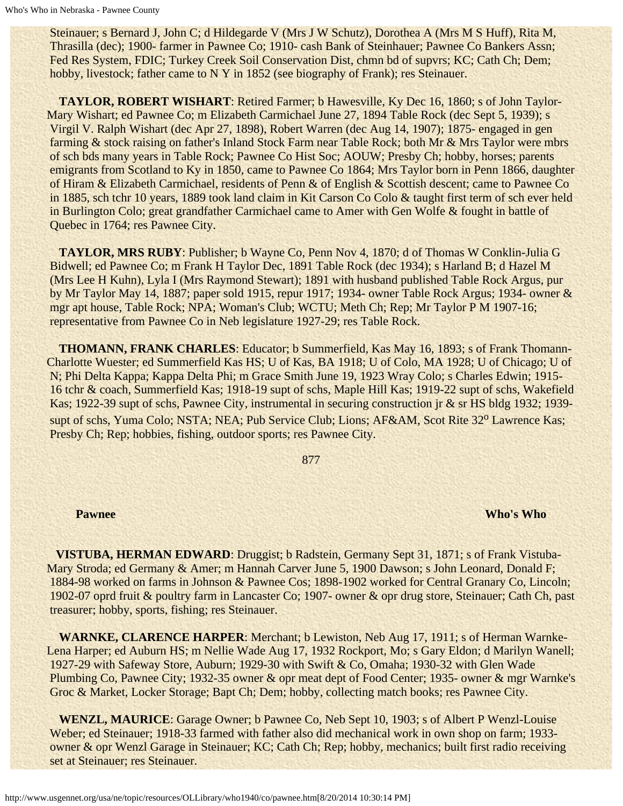Steinauer; s Bernard J, John C; d Hildegarde V (Mrs J W Schutz), Dorothea A (Mrs M S Huff), Rita M, Thrasilla (dec); 1900- farmer in Pawnee Co; 1910- cash Bank of Steinhauer; Pawnee Co Bankers Assn; Fed Res System, FDIC; Turkey Creek Soil Conservation Dist, chmn bd of supvrs; KC; Cath Ch; Dem; hobby, livestock; father came to N Y in 1852 (see biography of Frank); res Steinauer.

 **TAYLOR, ROBERT WISHART**: Retired Farmer; b Hawesville, Ky Dec 16, 1860; s of John Taylor-Mary Wishart; ed Pawnee Co; m Elizabeth Carmichael June 27, 1894 Table Rock (dec Sept 5, 1939); s Virgil V. Ralph Wishart (dec Apr 27, 1898), Robert Warren (dec Aug 14, 1907); 1875- engaged in gen farming & stock raising on father's Inland Stock Farm near Table Rock; both Mr & Mrs Taylor were mbrs of sch bds many years in Table Rock; Pawnee Co Hist Soc; AOUW; Presby Ch; hobby, horses; parents emigrants from Scotland to Ky in 1850, came to Pawnee Co 1864; Mrs Taylor born in Penn 1866, daughter of Hiram & Elizabeth Carmichael, residents of Penn & of English & Scottish descent; came to Pawnee Co in 1885, sch tchr 10 years, 1889 took land claim in Kit Carson Co Colo & taught first term of sch ever held in Burlington Colo; great grandfather Carmichael came to Amer with Gen Wolfe & fought in battle of Quebec in 1764; res Pawnee City.

 **TAYLOR, MRS RUBY**: Publisher; b Wayne Co, Penn Nov 4, 1870; d of Thomas W Conklin-Julia G Bidwell; ed Pawnee Co; m Frank H Taylor Dec, 1891 Table Rock (dec 1934); s Harland B; d Hazel M (Mrs Lee H Kuhn), Lyla I (Mrs Raymond Stewart); 1891 with husband published Table Rock Argus, pur by Mr Taylor May 14, 1887; paper sold 1915, repur 1917; 1934- owner Table Rock Argus; 1934- owner & mgr apt house, Table Rock; NPA; Woman's Club; WCTU; Meth Ch; Rep; Mr Taylor P M 1907-16; representative from Pawnee Co in Neb legislature 1927-29; res Table Rock.

 **THOMANN, FRANK CHARLES**: Educator; b Summerfield, Kas May 16, 1893; s of Frank Thomann-Charlotte Wuester; ed Summerfield Kas HS; U of Kas, BA 1918; U of Colo, MA 1928; U of Chicago; U of N; Phi Delta Kappa; Kappa Delta Phi; m Grace Smith June 19, 1923 Wray Colo; s Charles Edwin; 1915- 16 tchr & coach, Summerfield Kas; 1918-19 supt of schs, Maple Hill Kas; 1919-22 supt of schs, Wakefield Kas; 1922-39 supt of schs, Pawnee City, instrumental in securing construction jr & sr HS bldg 1932; 1939 supt of schs, Yuma Colo; NSTA; NEA; Pub Service Club; Lions; AF&AM, Scot Rite 32<sup>o</sup> Lawrence Kas; Presby Ch; Rep; hobbies, fishing, outdoor sports; res Pawnee City.

877

### **Pawnee Who's Who's Who's Who's Who's Who's Who's Who's Who's Who's Who's Who's Who's Who's Who's Who's Who's Who**

 **VISTUBA, HERMAN EDWARD**: Druggist; b Radstein, Germany Sept 31, 1871; s of Frank Vistuba-Mary Stroda; ed Germany & Amer; m Hannah Carver June 5, 1900 Dawson; s John Leonard, Donald F; 1884-98 worked on farms in Johnson & Pawnee Cos; 1898-1902 worked for Central Granary Co, Lincoln; 1902-07 oprd fruit & poultry farm in Lancaster Co; 1907- owner & opr drug store, Steinauer; Cath Ch, past treasurer; hobby, sports, fishing; res Steinauer.

 **WARNKE, CLARENCE HARPER**: Merchant; b Lewiston, Neb Aug 17, 1911; s of Herman Warnke-Lena Harper; ed Auburn HS; m Nellie Wade Aug 17, 1932 Rockport, Mo; s Gary Eldon; d Marilyn Wanell; 1927-29 with Safeway Store, Auburn; 1929-30 with Swift & Co, Omaha; 1930-32 with Glen Wade Plumbing Co, Pawnee City; 1932-35 owner & opr meat dept of Food Center; 1935- owner & mgr Warnke's Groc & Market, Locker Storage; Bapt Ch; Dem; hobby, collecting match books; res Pawnee City.

 **WENZL, MAURICE**: Garage Owner; b Pawnee Co, Neb Sept 10, 1903; s of Albert P Wenzl-Louise Weber; ed Steinauer; 1918-33 farmed with father also did mechanical work in own shop on farm; 1933 owner & opr Wenzl Garage in Steinauer; KC; Cath Ch; Rep; hobby, mechanics; built first radio receiving set at Steinauer; res Steinauer.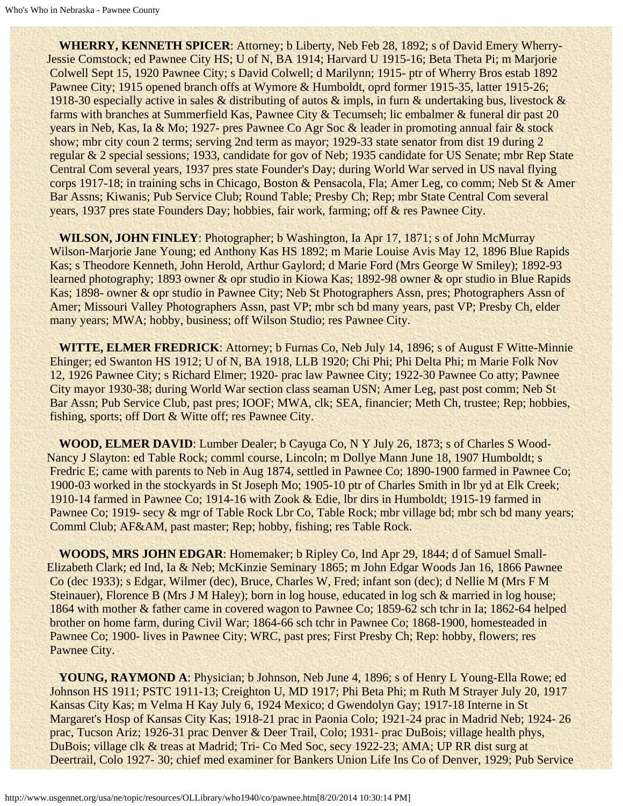**WHERRY, KENNETH SPICER**: Attorney; b Liberty, Neb Feb 28, 1892; s of David Emery Wherry-Jessie Comstock; ed Pawnee City HS; U of N, BA 1914; Harvard U 1915-16; Beta Theta Pi; m Marjorie Colwell Sept 15, 1920 Pawnee City; s David Colwell; d Marilynn; 1915- ptr of Wherry Bros estab 1892 Pawnee City; 1915 opened branch offs at Wymore & Humboldt, oprd former 1915-35, latter 1915-26; 1918-30 especially active in sales & distributing of autos & impls, in furn & undertaking bus, livestock & farms with branches at Summerfield Kas, Pawnee City & Tecumseh; lic embalmer & funeral dir past 20 years in Neb, Kas, Ia & Mo; 1927- pres Pawnee Co Agr Soc & leader in promoting annual fair & stock show; mbr city coun 2 terms; serving 2nd term as mayor; 1929-33 state senator from dist 19 during 2 regular & 2 special sessions; 1933, candidate for gov of Neb; 1935 candidate for US Senate; mbr Rep State Central Com several years, 1937 pres state Founder's Day; during World War served in US naval flying corps 1917-18; in training schs in Chicago, Boston & Pensacola, Fla; Amer Leg, co comm; Neb St & Amer Bar Assns; Kiwanis; Pub Service Club; Round Table; Presby Ch; Rep; mbr State Central Com several years, 1937 pres state Founders Day; hobbies, fair work, farming; off & res Pawnee City.

 **WILSON, JOHN FINLEY**: Photographer; b Washington, Ia Apr 17, 1871; s of John McMurray Wilson-Marjorie Jane Young; ed Anthony Kas HS 1892; m Marie Louise Avis May 12, 1896 Blue Rapids Kas; s Theodore Kenneth, John Herold, Arthur Gaylord; d Marie Ford (Mrs George W Smiley); 1892-93 learned photography; 1893 owner & opr studio in Kiowa Kas; 1892-98 owner & opr studio in Blue Rapids Kas; 1898- owner & opr studio in Pawnee City; Neb St Photographers Assn, pres; Photographers Assn of Amer; Missouri Valley Photographers Assn, past VP; mbr sch bd many years, past VP; Presby Ch, elder many years; MWA; hobby, business; off Wilson Studio; res Pawnee City.

 **WITTE, ELMER FREDRICK**: Attorney; b Furnas Co, Neb July 14, 1896; s of August F Witte-Minnie Ehinger; ed Swanton HS 1912; U of N, BA 1918, LLB 1920; Chi Phi; Phi Delta Phi; m Marie Folk Nov 12, 1926 Pawnee City; s Richard Elmer; 1920- prac law Pawnee City; 1922-30 Pawnee Co atty; Pawnee City mayor 1930-38; during World War section class seaman USN; Amer Leg, past post comm; Neb St Bar Assn; Pub Service Club, past pres; IOOF; MWA, clk; SEA, financier; Meth Ch, trustee; Rep; hobbies, fishing, sports; off Dort & Witte off; res Pawnee City.

 **WOOD, ELMER DAVID**: Lumber Dealer; b Cayuga Co, N Y July 26, 1873; s of Charles S Wood-Nancy J Slayton: ed Table Rock; comml course, Lincoln; m Dollye Mann June 18, 1907 Humboldt; s Fredric E; came with parents to Neb in Aug 1874, settled in Pawnee Co; 1890-1900 farmed in Pawnee Co; 1900-03 worked in the stockyards in St Joseph Mo; 1905-10 ptr of Charles Smith in lbr yd at Elk Creek; 1910-14 farmed in Pawnee Co; 1914-16 with Zook & Edie, lbr dirs in Humboldt; 1915-19 farmed in Pawnee Co; 1919- secy & mgr of Table Rock Lbr Co, Table Rock; mbr village bd; mbr sch bd many years; Comml Club; AF&AM, past master; Rep; hobby, fishing; res Table Rock.

 **WOODS, MRS JOHN EDGAR**: Homemaker; b Ripley Co, Ind Apr 29, 1844; d of Samuel Small-Elizabeth Clark; ed Ind, Ia & Neb; McKinzie Seminary 1865; m John Edgar Woods Jan 16, 1866 Pawnee Co (dec 1933); s Edgar, Wilmer (dec), Bruce, Charles W, Fred; infant son (dec); d Nellie M (Mrs F M Steinauer), Florence B (Mrs J M Haley); born in log house, educated in log sch & married in log house; 1864 with mother & father came in covered wagon to Pawnee Co; 1859-62 sch tchr in Ia; 1862-64 helped brother on home farm, during Civil War; 1864-66 sch tchr in Pawnee Co; 1868-1900, homesteaded in Pawnee Co; 1900- lives in Pawnee City; WRC, past pres; First Presby Ch; Rep: hobby, flowers; res Pawnee City.

 **YOUNG, RAYMOND A**: Physician; b Johnson, Neb June 4, 1896; s of Henry L Young-Ella Rowe; ed Johnson HS 1911; PSTC 1911-13; Creighton U, MD 1917; Phi Beta Phi; m Ruth M Strayer July 20, 1917 Kansas City Kas; m Velma H Kay July 6, 1924 Mexico; d Gwendolyn Gay; 1917-18 Interne in St Margaret's Hosp of Kansas City Kas; 1918-21 prac in Paonia Colo; 1921-24 prac in Madrid Neb; 1924- 26 prac, Tucson Ariz; 1926-31 prac Denver & Deer Trail, Colo; 1931- prac DuBois; village health phys, DuBois; village clk & treas at Madrid; Tri- Co Med Soc, secy 1922-23; AMA; UP RR dist surg at Deertrail, Colo 1927- 30; chief med examiner for Bankers Union Life Ins Co of Denver, 1929; Pub Service